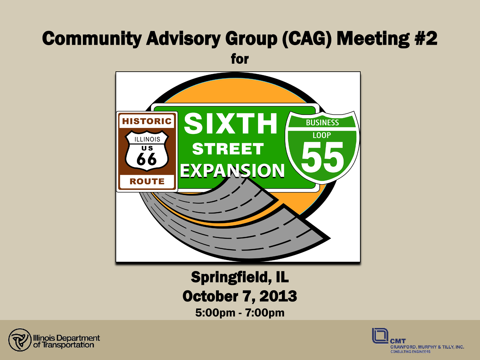# Community Advisory Group (CAG) Meeting #2 for



Springfield, IL **October 7, 2013**<br>5:00pm - 7:00pm



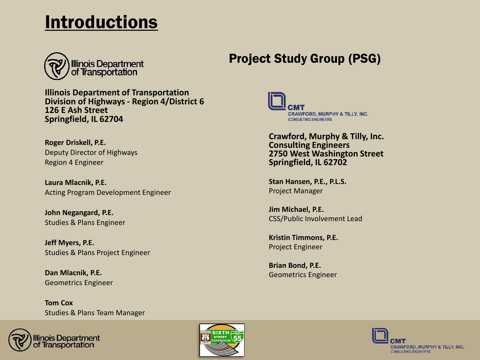## **Introductions**



**Illinois Department of Transportation Division of Highways - Region 4/District 6 126 E Ash Street Springfield, IL 62704**

**Roger Driskell, P.E.** Deputy Director of Highways Region 4 Engineer

**Laura Mlacnik, P.E.** Acting Program Development Engineer

**John Negangard, P.E.** Studies & Plans Engineer

**Jeff Myers, P.E.** Studies & Plans Project Engineer

**Dan Mlacnik, P.E.** Geometrics Engineer

**Tom Cox** Studies & Plans Team Manager





### Project Study Group (PSG)



**Crawford, Murphy & Tilly, Inc. Consulting Engineers 2750 West Washington Street Springfield, IL 62702**

**Stan Hansen, P.E., P.L.S.** Project Manager

**Jim Michael, P.E.** CSS/Public Involvement Lead

**Kristin Timmons, P.E.** Project Engineer

**Brian Bond, P.E.** Geometrics Engineer

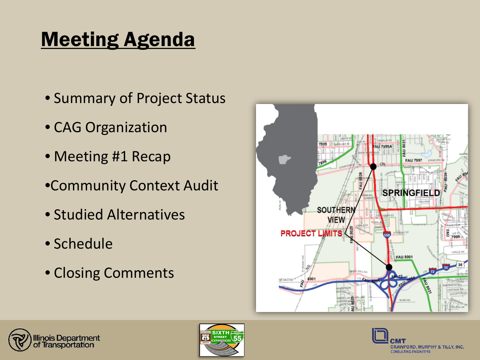# Meeting Agenda

- Summary of Project Status
- CAG Organization
- Meeting #1 Recap
- •Community Context Audit
- Studied Alternatives
- Schedule
- Closing Comments







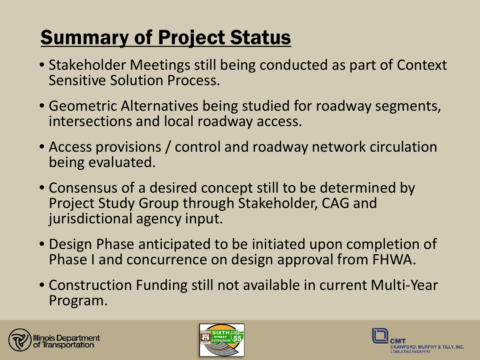# **Summary of Project Status**

- Stakeholder Meetings still being conducted as part of Context Sensitive Solution Process.
- Geometric Alternatives being studied for roadway segments, intersections and local roadway access.
- Access provisions / control and roadway network circulation being evaluated.
- Consensus of a desired concept still to be determined by Project Study Group through Stakeholder, CAG and jurisdictional agency input.
- Design Phase anticipated to be initiated upon completion of Phase I and concurrence on design approval from FHWA.
- Construction Funding still not available in current Multi-Year Program.





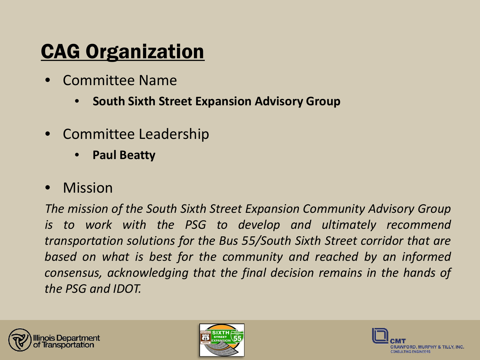# CAG Organization

- Committee Name
	- **South Sixth Street Expansion Advisory Group**
- Committee Leadership
	- **Paul Beatty**
- **Mission**

*The mission of the South Sixth Street Expansion Community Advisory Group is to work with the PSG to develop and ultimately recommend transportation solutions for the Bus 55/South Sixth Street corridor that are based on what is best for the community and reached by an informed consensus, acknowledging that the final decision remains in the hands of the PSG and IDOT.*





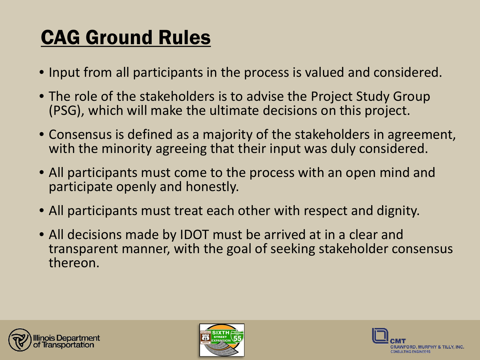# CAG Ground Rules

- Input from all participants in the process is valued and considered.
- • The role of the stakeholders is to advise the Project Study Group (PSG), which will make the ultimate decisions on this project.
- Consensus is defined as a majority of the stakeholders in agreement, with the minority agreeing that their input was duly considered.
- All participants must come to the process with an open mind and participate openly and honestly.
- All participants must treat each other with respect and dignity.
- All decisions made by IDOT must be arrived at in a clear and transparent manner, with the goal of seeking stakeholder consensus thereon.





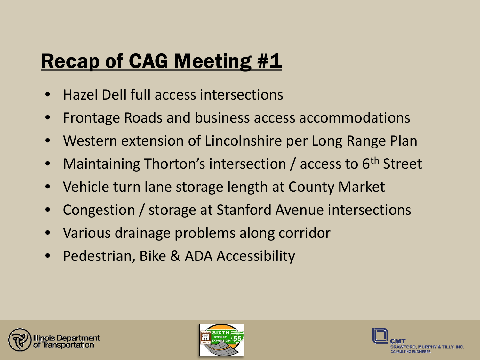# Recap of CAG Meeting #1

- Hazel Dell full access intersections
- Frontage Roads and business access accommodations
- Western extension of Lincolnshire per Long Range Plan
- Maintaining Thorton's intersection / access to 6<sup>th</sup> Street
- Vehicle turn lane storage length at County Market
- Congestion / storage at Stanford Avenue intersections
- Various drainage problems along corridor
- Pedestrian, Bike & ADA Accessibility





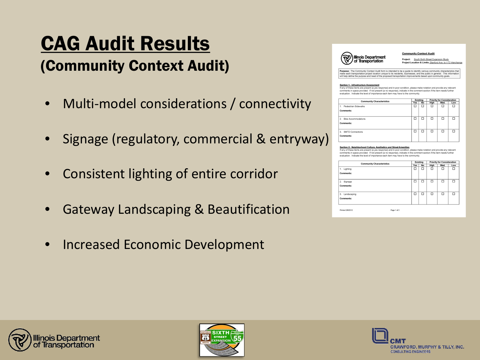# **CAG Audit Results<br>(Community Context Audit)**

- Multi-model considerations / connectivity
- Signage (regulatory, commercial & entryway)
- Consistent lighting of entire corridor
- Gateway Landscaping & Beautification
- Increased Economic Development



**Community Context Audit** 

Project: South Sixth Street Expansion Study Project Location & Limits: Stanford Ave. to 1-72 Interchange

**urpose:** The Community Context Audit form is intended to be a guide to identify various community characteristics tha<br>alse each transportation project location unique to its residents, tusinesses, and the public in genera

Section 1: Infrastructure Assessment<br>If any of these items are present (a yes response) and in poor condition, please make notation and provide any relevant comments in space provided. If not present (a no response), indicate in the comment section if the item needs further ion. Indicate the level of importance each item may have to the community

| <b>Community Characteristics</b>          | Existing |           | <b>Priority for Consideration</b> |      |     |
|-------------------------------------------|----------|-----------|-----------------------------------|------|-----|
|                                           | Yes      | <b>No</b> | High                              | Med. | Low |
| 1. Pedestrian Sidewalks                   | □        | α         | Ω                                 | п    | □   |
| Comments:                                 |          |           |                                   |      |     |
| <b>Bike Accommodations</b><br>$2^{\circ}$ | α        | □         | □                                 | □    | □   |
| Comments:                                 |          |           |                                   |      |     |
| 3. SMTD Connections                       | □        | □         | □                                 | □    | □   |
| Comments:                                 |          |           |                                   |      |     |

### Section 2: Neighborhood Culture, Aesthetics and Street Amenities

if any of these items are present (a yes response) and in poor condition, please make notation and provide any relevant for the response and in poor condition, please make notation and provide any relevant evaluation. Indicate the level of importance each item may have to the community.

| Yes<br>□ | No.    |        |        | <b>Priority for Consideration</b> |  |  |
|----------|--------|--------|--------|-----------------------------------|--|--|
|          |        | High   | Med.   | Low                               |  |  |
|          | α      | α      | □      | □                                 |  |  |
|          |        |        |        |                                   |  |  |
| □        | □      | $\Box$ | □      | $\Box$                            |  |  |
|          |        |        |        |                                   |  |  |
| $\Box$   | $\Box$ | $\Box$ | $\Box$ | $\Box$                            |  |  |
|          |        |        |        |                                   |  |  |
|          |        |        |        |                                   |  |  |
|          |        |        |        |                                   |  |  |





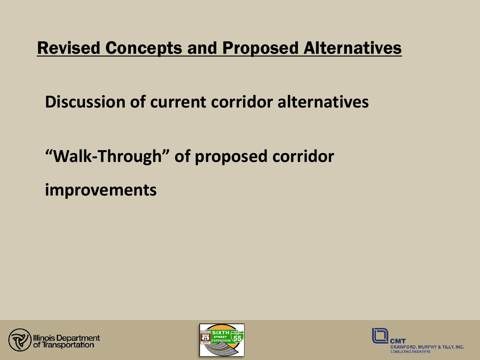## Revised Concepts and Proposed Alternatives

## **Discussion of current corridor alternatives**

## **"Walk-Through" of proposed corridor**

**improvements**





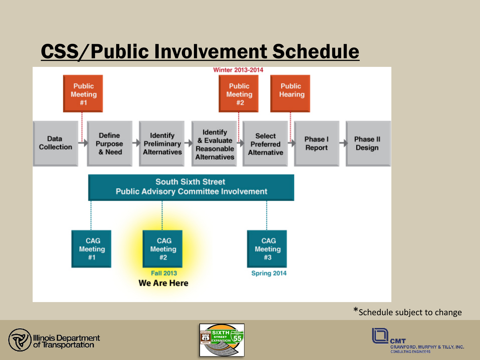# CSS/Public Involvement Schedule







### \*Schedule subject to change